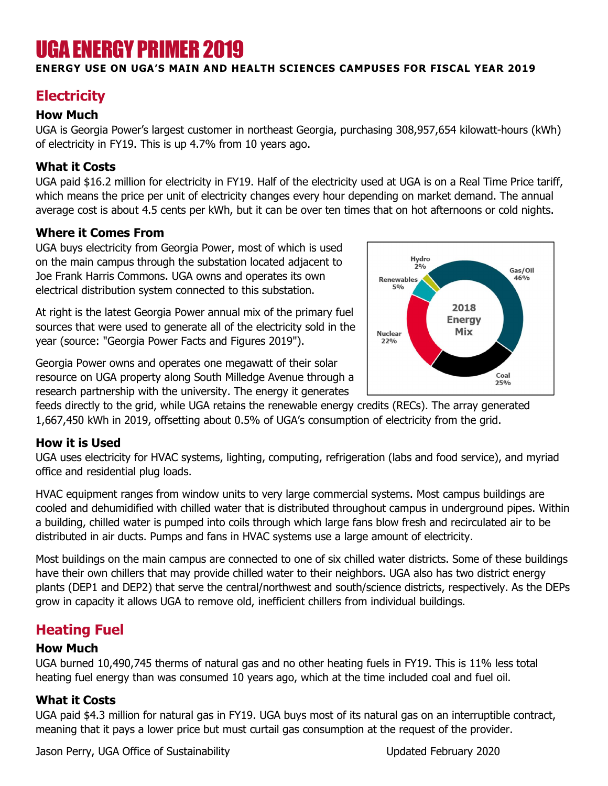# UGA ENERGY PRIMER 2019

#### ENERGY USE ON UGA'S MAIN AND HEALTH SCIENCES CAMPUSES FOR FISCAL YEAR 2019

# **Electricity**

#### How Much

UGA is Georgia Power's largest customer in northeast Georgia, purchasing 308,957,654 kilowatt-hours (kWh) of electricity in FY19. This is up 4.7% from 10 years ago.

#### What it Costs

UGA paid \$16.2 million for electricity in FY19. Half of the electricity used at UGA is on a Real Time Price tariff, which means the price per unit of electricity changes every hour depending on market demand. The annual average cost is about 4.5 cents per kWh, but it can be over ten times that on hot afternoons or cold nights.

## Where it Comes From

UGA buys electricity from Georgia Power, most of which is used on the main campus through the substation located adjacent to Joe Frank Harris Commons. UGA owns and operates its own electrical distribution system connected to this substation.

At right is the latest Georgia Power annual mix of the primary fuel sources that were used to generate all of the electricity sold in the year (source: "Georgia Power Facts and Figures 2019").

Georgia Power owns and operates one megawatt of their solar resource on UGA property along South Milledge Avenue through a research partnership with the university. The energy it generates



feeds directly to the grid, while UGA retains the renewable energy credits (RECs). The array generated 1,667,450 kWh in 2019, offsetting about 0.5% of UGA's consumption of electricity from the grid.

#### How it is Used

UGA uses electricity for HVAC systems, lighting, computing, refrigeration (labs and food service), and myriad office and residential plug loads.

HVAC equipment ranges from window units to very large commercial systems. Most campus buildings are cooled and dehumidified with chilled water that is distributed throughout campus in underground pipes. Within a building, chilled water is pumped into coils through which large fans blow fresh and recirculated air to be distributed in air ducts. Pumps and fans in HVAC systems use a large amount of electricity.

Most buildings on the main campus are connected to one of six chilled water districts. Some of these buildings have their own chillers that may provide chilled water to their neighbors. UGA also has two district energy plants (DEP1 and DEP2) that serve the central/northwest and south/science districts, respectively. As the DEPs grow in capacity it allows UGA to remove old, inefficient chillers from individual buildings.

# Heating Fuel

#### How Much

UGA burned 10,490,745 therms of natural gas and no other heating fuels in FY19. This is 11% less total heating fuel energy than was consumed 10 years ago, which at the time included coal and fuel oil.

## What it Costs

UGA paid \$4.3 million for natural gas in FY19. UGA buys most of its natural gas on an interruptible contract, meaning that it pays a lower price but must curtail gas consumption at the request of the provider.

Jason Perry, UGA Office of Sustainability Updated February 2020